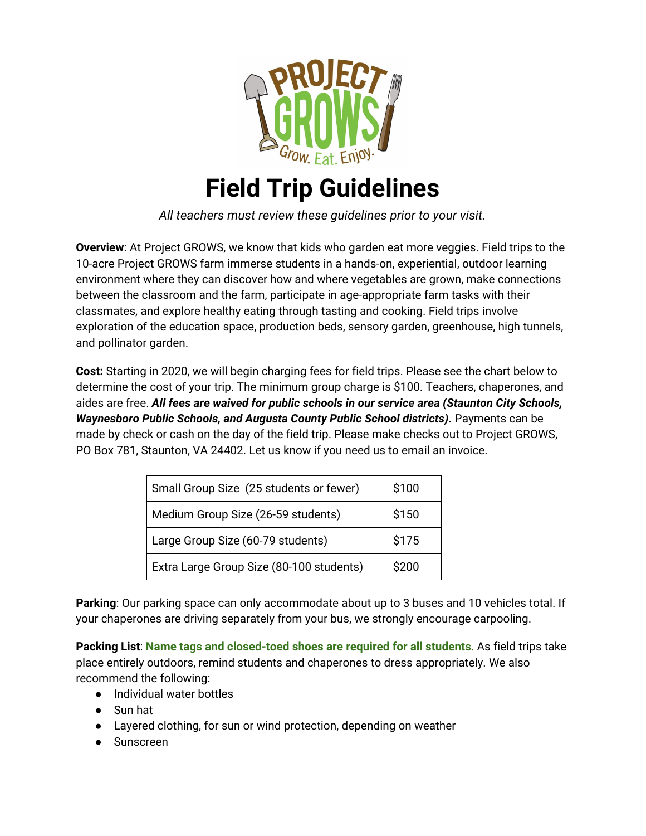

## **Field Trip Guidelines**

*All teachers must review these guidelines prior to your visit.*

**Overview**: At Project GROWS, we know that kids who garden eat more veggies. Field trips to the 10-acre Project GROWS farm immerse students in a hands-on, experiential, outdoor learning environment where they can discover how and where vegetables are grown, make connections between the classroom and the farm, participate in age-appropriate farm tasks with their classmates, and explore healthy eating through tasting and cooking. Field trips involve exploration of the education space, production beds, sensory garden, greenhouse, high tunnels, and pollinator garden.

**Cost:** Starting in 2020, we will begin charging fees for field trips. Please see the chart below to determine the cost of your trip. The minimum group charge is \$100. Teachers, chaperones, and aides are free. *All fees are waived for public schools in our service area (Staunton City Schools, Waynesboro Public Schools, and Augusta County Public School districts).* Payments can be made by check or cash on the day of the field trip. Please make checks out to Project GROWS, PO Box 781, Staunton, VA 24402. Let us know if you need us to email an invoice.

| Small Group Size (25 students or fewer)  | \$100 |
|------------------------------------------|-------|
| Medium Group Size (26-59 students)       | \$150 |
| Large Group Size (60-79 students)        | \$175 |
| Extra Large Group Size (80-100 students) | \$200 |

**Parking**: Our parking space can only accommodate about up to 3 buses and 10 vehicles total. If your chaperones are driving separately from your bus, we strongly encourage carpooling.

**Packing List**: **Name tags and closed-toed shoes are required for all students**. As field trips take place entirely outdoors, remind students and chaperones to dress appropriately. We also recommend the following:

- Individual water bottles
- Sun hat
- Layered clothing, for sun or wind protection, depending on weather
- Sunscreen